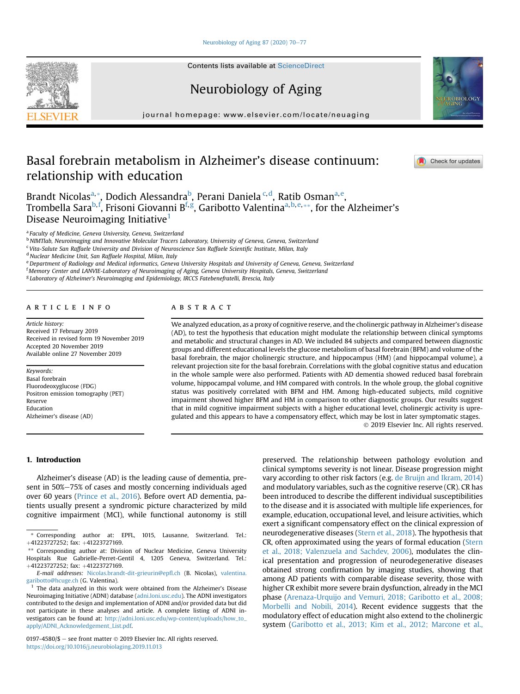## [Neurobiology of Aging 87 \(2020\) 70](https://doi.org/10.1016/j.neurobiolaging.2019.11.013)-[77](https://doi.org/10.1016/j.neurobiolaging.2019.11.013)

**Contents lists available at ScienceDirect** 

Neurobiology of Aging

journal homepage: [www.elsevier.com/locate/neuaging](http://www.elsevier.com/locate/neuaging)

# Basal forebrain metabolism in Alzheimer's disease continuum: relationship with education

Brandt Nicolas<sup>[a,](#page-0-0)</sup>\*, Dodich Alessandra<sup>b</sup>, Perani Daniela<sup>.[c,](#page-0-2)[d](#page-0-3)</sup>, R[a](#page-0-0)tib Osman<sup>a,[e](#page-0-4)</sup>, Trombella Sara<sup>[b,](#page-0-1) [f](#page-0-5)</sup>, Frisoni Giovanni B<sup>f, [g](#page-0-6)</sup>, G[a](#page-0-0)ribotto Valentina<sup>a, b, [e,](#page-0-4) [\\*\\*](#page-0-7), for the Alzheimer's</sup> Disease Neuroimaging Initiative<sup>[1](#page-0-8)</sup>

<span id="page-0-0"></span><sup>a</sup> Faculty of Medicine, Geneva University, Geneva, Switzerland

<span id="page-0-1"></span><sup>b</sup> NIMTlab, Neuroimaging and Innovative Molecular Tracers Laboratory, University of Geneva, Geneva, Switzerland

<span id="page-0-2"></span> $c$  Vita-Salute San Raffaele University and Division of Neuroscience San Raffaele Scientific Institute, Milan, Italy

<span id="page-0-3"></span><sup>d</sup> Nuclear Medicine Unit, San Raffaele Hospital, Milan, Italy

<span id="page-0-4"></span>e Department of Radiology and Medical informatics, Geneva University Hospitals and University of Geneva, Geneva, Switzerland

<span id="page-0-5"></span>f Memory Center and LANVIE-Laboratory of Neuroimaging of Aging, Geneva University Hospitals, Geneva, Switzerland

<span id="page-0-6"></span><sup>g</sup> Laboratory of Alzheimer's Neuroimaging and Epidemiology, IRCCS Fatebenefratelli, Brescia, Italy

## article info

Article history: Received 17 February 2019 Received in revised form 19 November 2019 Accepted 20 November 2019 Available online 27 November 2019

Keywords: Basal forebrain Fluorodeoxyglucose (FDG) Positron emission tomography (PET) Reserve Education Alzheimer's disease (AD)

## ABSTRACT

We analyzed education, as a proxy of cognitive reserve, and the cholinergic pathway in Alzheimer's disease (AD), to test the hypothesis that education might modulate the relationship between clinical symptoms and metabolic and structural changes in AD. We included 84 subjects and compared between diagnostic groups and different educational levels the glucose metabolism of basal forebrain (BFM) and volume of the basal forebrain, the major cholinergic structure, and hippocampus (HM) (and hippocampal volume), a relevant projection site for the basal forebrain. Correlations with the global cognitive status and education in the whole sample were also performed. Patients with AD dementia showed reduced basal forebrain volume, hippocampal volume, and HM compared with controls. In the whole group, the global cognitive status was positively correlated with BFM and HM. Among high-educated subjects, mild cognitive impairment showed higher BFM and HM in comparison to other diagnostic groups. Our results suggest that in mild cognitive impairment subjects with a higher educational level, cholinergic activity is upregulated and this appears to have a compensatory effect, which may be lost in later symptomatic stages. 2019 Elsevier Inc. All rights reserved.

#### 1. Introduction

Alzheimer's disease (AD) is the leading cause of dementia, present in 50%-75% of cases and mostly concerning individuals aged over 60 years [\(Prince et al., 2016\)](#page-7-0). Before overt AD dementia, patients usually present a syndromic picture characterized by mild cognitive impairment (MCI), while functional autonomy is still

0197-4580/\$ - see front matter  $\odot$  2019 Elsevier Inc. All rights reserved. <https://doi.org/10.1016/j.neurobiolaging.2019.11.013>

preserved. The relationship between pathology evolution and clinical symptoms severity is not linear. Disease progression might vary according to other risk factors (e.g. [de Bruijn and Ikram, 2014](#page-7-1)) and modulatory variables, such as the cognitive reserve (CR). CR has been introduced to describe the different individual susceptibilities to the disease and it is associated with multiple life experiences, for example, education, occupational level, and leisure activities, which exert a significant compensatory effect on the clinical expression of neurodegenerative diseases ([Stern et al., 2018\)](#page-7-2). The hypothesis that CR, often approximated using the years of formal education ([Stern](#page-7-2) [et al., 2018; Valenzuela and Sachdev, 2006\)](#page-7-2), modulates the clinical presentation and progression of neurodegenerative diseases obtained strong confirmation by imaging studies, showing that among AD patients with comparable disease severity, those with higher CR exhibit more severe brain dysfunction, already in the MCI phase ([Arenaza-Urquijo and Vemuri, 2018; Garibotto et al., 2008;](#page-6-0) [Morbelli and Nobili, 2014](#page-6-0)). Recent evidence suggests that the modulatory effect of education might also extend to the cholinergic system [\(Garibotto et al., 2013; Kim et al., 2012; Marcone et al.,](#page-7-3)







<sup>\*</sup> Corresponding author at: EPFL, 1015, Lausanne, Switzerland. Tel.: +41223727252; fax: +41223727169.

<span id="page-0-7"></span><sup>\*\*</sup> Corresponding author at: Division of Nuclear Medicine, Geneva University Hospitals Rue Gabrielle-Perret-Gentil 4, 1205 Geneva, Switzerland. Tel.: þ41223727252; fax: þ41223727169.

E-mail addresses: [Nicolas.brandt-dit-grieurin@ep](mailto:Nicolas.brandt-dit-grieurin@epfl.ch)fl.ch (B. Nicolas), [valentina.](mailto:valentina.garibotto@hcuge.ch) [garibotto@hcuge.ch](mailto:valentina.garibotto@hcuge.ch) (G. Valentina).

<span id="page-0-8"></span> $<sup>1</sup>$  The data analyzed in this work were obtained from the Alzheimer's Disease</sup> Neuroimaging Initiative (ADNI) database ([adni.loni.usc.edu](http://adni.loni.usc.edu)). The ADNI investigators contributed to the design and implementation of ADNI and/or provided data but did not participate in these analyses and article. A complete listing of ADNI investigators can be found at: [http://adni.loni.usc.edu/wp-content/uploads/how\\_to\\_](http://adni.loni.usc.edu/wp-content/uploads/how_to_apply/ADNI_Acknowledgement_List.pdf) [apply/ADNI\\_Acknowledgement\\_List.pdf](http://adni.loni.usc.edu/wp-content/uploads/how_to_apply/ADNI_Acknowledgement_List.pdf).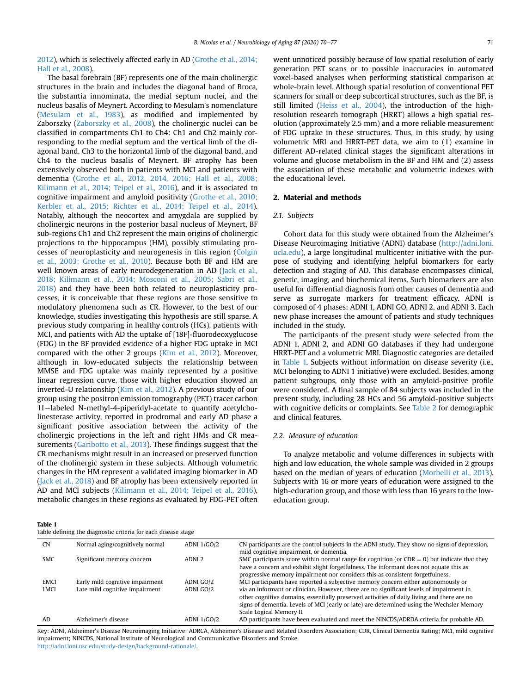[2012\)](#page-7-3), which is selectively affected early in AD ([Grothe et al., 2014;](#page-7-4) [Hall et al., 2008](#page-7-4)).

The basal forebrain (BF) represents one of the main cholinergic structures in the brain and includes the diagonal band of Broca, the substantia innominata, the medial septum nuclei, and the nucleus basalis of Meynert. According to Mesulam's nomenclature ([Mesulam et al., 1983\)](#page-7-5), as modified and implemented by Zaborszky ([Zaborszky et al., 2008](#page-7-6)), the cholinergic nuclei can be classified in compartments Ch1 to Ch4: Ch1 and Ch2 mainly corresponding to the medial septum and the vertical limb of the diagonal band, Ch3 to the horizontal limb of the diagonal band, and Ch4 to the nucleus basalis of Meynert. BF atrophy has been extensively observed both in patients with MCI and patients with dementia ([Grothe et al., 2012, 2014, 2016; Hall et al., 2008;](#page-7-7) [Kilimann et al., 2014; Teipel et al., 2016](#page-7-7)), and it is associated to cognitive impairment and amyloid positivity [\(Grothe et al., 2010;](#page-7-8) [Kerbler et al., 2015; Richter et al., 2014; Teipel et al., 2014](#page-7-8)). Notably, although the neocortex and amygdala are supplied by cholinergic neurons in the posterior basal nucleus of Meynert, BF sub-regions Ch1 and Ch2 represent the main origins of cholinergic projections to the hippocampus (HM), possibly stimulating processes of neuroplasticity and neurogenesis in this region [\(Colgin](#page-7-9) [et al., 2003; Grothe et al., 2010\)](#page-7-9). Because both BF and HM are well known areas of early neurodegeneration in AD ([Jack et al.,](#page-7-10) [2018; Kilimann et al., 2014; Mosconi et al., 2005; Sabri et al.,](#page-7-10) [2018\)](#page-7-10) and they have been both related to neuroplasticity processes, it is conceivable that these regions are those sensitive to modulatory phenomena such as CR. However, to the best of our knowledge, studies investigating this hypothesis are still sparse. A previous study comparing in healthy controls (HCs), patients with MCI, and patients with AD the uptake of [18F]-fluorodeoxyglucose (FDG) in the BF provided evidence of a higher FDG uptake in MCI compared with the other 2 groups [\(Kim et al., 2012\)](#page-7-11). Moreover, although in low-educated subjects the relationship between MMSE and FDG uptake was mainly represented by a positive linear regression curve, those with higher education showed an inverted-U relationship [\(Kim et al., 2012\)](#page-7-11). A previous study of our group using the positron emission tomography (PET) tracer carbon 11-labeled N-methyl-4-piperidyl-acetate to quantify acetylcholinesterase activity, reported in prodromal and early AD phase a significant positive association between the activity of the cholinergic projections in the left and right HMs and CR measurements [\(Garibotto et al., 2013\)](#page-7-3). These findings suggest that the CR mechanisms might result in an increased or preserved function of the cholinergic system in these subjects. Although volumetric changes in the HM represent a validated imaging biomarker in AD ([Jack et al., 2018](#page-7-10)) and BF atrophy has been extensively reported in AD and MCI subjects [\(Kilimann et al., 2014; Teipel et al., 2016](#page-7-12)), metabolic changes in these regions as evaluated by FDG-PET often

<span id="page-1-0"></span>Table 1

Table defining the diagnostic criteria for each disease stage

went unnoticed possibly because of low spatial resolution of early generation PET scans or to possible inaccuracies in automated voxel-based analyses when performing statistical comparison at whole-brain level. Although spatial resolution of conventional PET scanners for small or deep subcortical structures, such as the BF, is still limited [\(Heiss et al., 2004](#page-7-13)), the introduction of the highresolution research tomograph (HRRT) allows a high spatial resolution (approximately 2.5 mm) and a more reliable measurement of FDG uptake in these structures. Thus, in this study, by using volumetric MRI and HRRT-PET data, we aim to (1) examine in different AD-related clinical stages the significant alterations in volume and glucose metabolism in the BF and HM and (2) assess the association of these metabolic and volumetric indexes with the educational level.

## 2. Material and methods

## 2.1. Subjects

Cohort data for this study were obtained from the Alzheimer's Disease Neuroimaging Initiative (ADNI) database ([http://adni.loni.](http://adni.loni.ucla.edu) [ucla.edu\)](http://adni.loni.ucla.edu), a large longitudinal multicenter initiative with the purpose of studying and identifying helpful biomarkers for early detection and staging of AD. This database encompasses clinical, genetic, imaging, and biochemical items. Such biomarkers are also useful for differential diagnosis from other causes of dementia and serve as surrogate markers for treatment efficacy. ADNI is composed of 4 phases: ADNI 1, ADNI GO, ADNI 2, and ADNI 3. Each new phase increases the amount of patients and study techniques included in the study.

The participants of the present study were selected from the ADNI 1, ADNI 2, and ADNI GO databases if they had undergone HRRT-PET and a volumetric MRI. Diagnostic categories are detailed in [Table 1.](#page-1-0) Subjects without information on disease severity (i.e., MCI belonging to ADNI 1 initiative) were excluded. Besides, among patient subgroups, only those with an amyloid-positive profile were considered. A final sample of 84 subjects was included in the present study, including 28 HCs and 56 amyloid-positive subjects with cognitive deficits or complaints. See [Table 2](#page-2-0) for demographic and clinical features.

#### 2.2. Measure of education

To analyze metabolic and volume differences in subjects with high and low education, the whole sample was divided in 2 groups based on the median of years of education [\(Morbelli et al., 2013\)](#page-7-14). Subjects with 16 or more years of education were assigned to the high-education group, and those with less than 16 years to the loweducation group.

|             | Table activities the anashootic criteria for caen abease stage |                    |                                                                                                                                                                                                                                                                                                                 |  |  |  |  |  |
|-------------|----------------------------------------------------------------|--------------------|-----------------------------------------------------------------------------------------------------------------------------------------------------------------------------------------------------------------------------------------------------------------------------------------------------------------|--|--|--|--|--|
| <b>CN</b>   | Normal aging/cognitively normal                                | ADNI 1/GO/2        | CN participants are the control subjects in the ADNI study. They show no signs of depression,<br>mild cognitive impairment, or dementia.                                                                                                                                                                        |  |  |  |  |  |
| <b>SMC</b>  | Significant memory concern                                     | ADNI <sub>2</sub>  | SMC participants score within normal range for cognition (or $CDR = 0$ ) but indicate that they<br>have a concern and exhibit slight forgetfulness. The informant does not equate this as<br>progressive memory impairment nor considers this as consistent forgetfulness.                                      |  |  |  |  |  |
| <b>EMCI</b> | Early mild cognitive impairment                                | ADNI GO/2          | MCI participants have reported a subjective memory concern either autonomously or                                                                                                                                                                                                                               |  |  |  |  |  |
| <b>LMCI</b> | Late mild cognitive impairment                                 | ADNI GO/2          | via an informant or clinician. However, there are no significant levels of impairment in<br>other cognitive domains, essentially preserved activities of daily living and there are no<br>signs of dementia. Levels of MCI (early or late) are determined using the Wechsler Memory<br>Scale Logical Memory II. |  |  |  |  |  |
| AD          | Alzheimer's disease                                            | <b>ADNI 1/GO/2</b> | AD participants have been evaluated and meet the NINCDS/ADRDA criteria for probable AD.                                                                                                                                                                                                                         |  |  |  |  |  |

Key: ADNI, Alzheimer's Disease Neuroimaging Initiative; ADRCA, Alzheimer's Disease and Related Disorders Association; CDR, Clinical Dementia Rating; MCI, mild cognitive impairment; NINCDS, National Institute of Neurological and Communicative Disorders and Stroke. <http://adni.loni.usc.edu/study-design/background-rationale/>.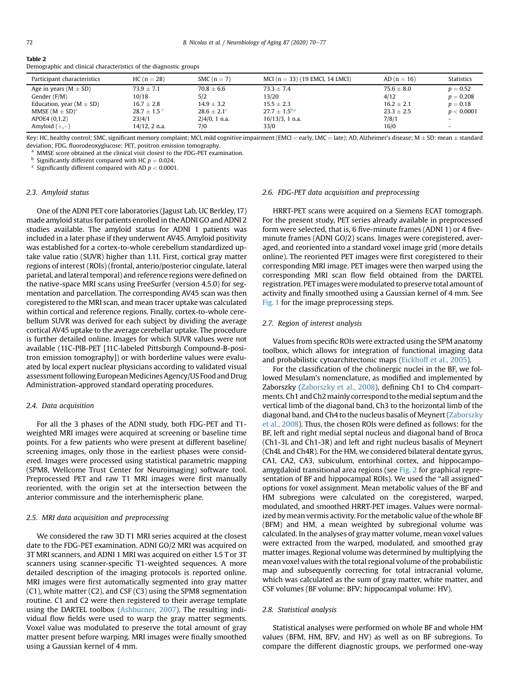<span id="page-2-0"></span>Table 2

| Participant characteristics  | $HC(n = 28)$                | SMC $(n = 7)$    | MCI $(n = 33)$ (19 EMCI, 14 LMCI) | $AD(n = 16)$   | <b>Statistics</b>        |
|------------------------------|-----------------------------|------------------|-----------------------------------|----------------|--------------------------|
| Age in years ( $M \pm SD$ )  | $73.9 \pm 7.1$              | $70.8 \pm 6.6$   | $73.3 + 7.4$                      | $75.6 \pm 8.0$ | $p = 0.52$               |
| Gender (F/M)                 | 10/18                       | 5/2              | 13/20                             | 4/12           | $p = 0.208$              |
| Education, year $(M \pm SD)$ | $16.7 \pm 2.8$              | $14.9 + 3.2$     | $15.5 + 2.3$                      | $16.2 \pm 2.1$ | $p = 0.18$               |
| MMSE $(M \pm SD)^{a}$        | $28.7 \pm 1.5$ <sup>c</sup> | $28.6 \pm 2.1^c$ | $27.7 + 1.5^{b,c}$                | $23.3 \pm 2.5$ | p < 0.0001               |
| APOE4 (0,1,2)                | 23/4/1                      | $2/4/0$ , 1 n.a. | $16/13/3$ , 1 n.a.                | 7/8/1          | - 1                      |
| Amyloid $(+,-)$              | $14/12$ , 2 n.a.            | 7/0              | 33/0                              | 16/0           | $\overline{\phantom{0}}$ |

Demographic and clinical characteristics of the diagnostic groups

Key: HC, healthy control; SMC, significant memory complaint; MCI, mild cognitive impairment (EMCI = early, LMC = late); AD, Alzheimer's disease; M  $\pm$  SD: mean  $\pm$  standard deviation; FDG, fluorodeoxyglucose; PET, positron emission tomography.

<sup>a</sup> MMSE score obtained at the clinical visit closest to the FDG-PET examination.<br><sup>b</sup> Significantly different compared with HC  $p = 0.024$ .

 $\cdot$  Significantly different compared with AD  $p < 0.0001$ .

## 2.3. Amyloid status

One of the ADNI PET core laboratories (Jagust Lab, UC Berkley, 17) made amyloid status for patients enrolled in the ADNI GO and ADNI 2 studies available. The amyloid status for ADNI 1 patients was included in a later phase if they underwent AV45. Amyloid positivity was established for a cortex-to-whole cerebellum standardized uptake value ratio (SUVR) higher than 1.11. First, cortical gray matter regions of interest (ROIs) (frontal, anterio/posterior cingulate, lateral parietal, and lateral temporal) and reference regions were defined on the native-space MRI scans using FreeSurfer (version 4.5.0) for segmentation and parcellation. The corresponding AV45 scan was then coregistered to the MRI scan, and mean tracer uptake was calculated within cortical and reference regions. Finally, cortex-to-whole cerebellum SUVR was derived for each subject by dividing the average cortical AV45 uptake to the average cerebellar uptake. The procedure is further detailed online. Images for which SUVR values were not available (11C-PIB-PET [11C-labeled Pittsburgh Compound-B-positron emission tomography]) or with borderline values were evaluated by local expert nuclear physicians according to validated visual assessment following European Medicines Agency/US Food and Drug Administration-approved standard operating procedures.

#### 2.4. Data acquisition

For all the 3 phases of the ADNI study, both FDG-PET and T1 weighted MRI images were acquired at screening or baseline time points. For a few patients who were present at different baseline/ screening images, only those in the earliest phases were considered. Images were processed using statistical parametric mapping (SPM8, Wellcome Trust Center for Neuroimaging) software tool. Preprocessed PET and raw T1 MRI images were first manually reoriented, with the origin set at the intersection between the anterior commissure and the interhemispheric plane.

## 2.5. MRI data acquisition and preprocessing

We considered the raw 3D T1 MRI series acquired at the closest date to the FDG-PET examination. ADNI GO/2 MRI was acquired on 3T MRI scanners, and ADNI 1 MRI was acquired on either 1.5 T or 3T scanners using scanner-specific T1-weighted sequences. A more detailed description of the imaging protocols is reported online. MRI images were first automatically segmented into gray matter (C1), white matter (C2), and CSF (C3) using the SPM8 segmentation routine. C1 and C2 were then registered to their average template using the DARTEL toolbox [\(Ashburner, 2007](#page-6-1)). The resulting individual flow fields were used to warp the gray matter segments. Voxel value was modulated to preserve the total amount of gray matter present before warping. MRI images were finally smoothed using a Gaussian kernel of 4 mm.

#### 2.6. FDG-PET data acquisition and preprocessing

HRRT-PET scans were acquired on a Siemens ECAT tomograph. For the present study, PET series already available in preprocessed form were selected, that is, 6 five-minute frames (ADNI 1) or 4 fiveminute frames (ADNI GO/2) scans. Images were coregistered, averaged, and reoriented into a standard voxel image grid (more details online). The reoriented PET images were first coregistered to their corresponding MRI image. PET images were then warped using the corresponding MRI scan flow field obtained from the DARTEL registration. PET images were modulated to preserve total amount of activity and finally smoothed using a Gaussian kernel of 4 mm. See [Fig. 1](#page-3-0) for the image preprocessing steps.

## 2.7. Region of interest analysis

Values from specific ROIs were extracted using the SPM anatomy toolbox, which allows for integration of functional imaging data and probabilistic cytoarchitectonic maps ([Eickhoff et al., 2005\)](#page-7-15).

For the classification of the cholinergic nuclei in the BF, we followed Mesulam's nomenclature, as modified and implemented by Zaborszky [\(Zaborszky et al., 2008](#page-7-6)), defining Ch1 to Ch4 compartments. Ch1 and Ch2 mainly correspond to the medial septum and the vertical limb of the diagonal band, Ch3 to the horizontal limb of the diagonal band, and Ch4 to the nucleus basalis of Meynert [\(Zaborszky](#page-7-6) [et al., 2008](#page-7-6)). Thus, the chosen ROIs were defined as follows: for the BF, left and right medial septal nucleus and diagonal band of Broca (Ch1-3L and Ch1-3R) and left and right nucleus basalis of Meynert (Ch4L and Ch4R). For the HM, we considered bilateral dentate gyrus, CA1, CA2, CA3, subiculum, entorhinal cortex, and hippocampoamygdaloid transitional area regions (see [Fig. 2](#page-4-0) for graphical representation of BF and hippocampal ROIs). We used the "all assigned" options for voxel assignment. Mean metabolic values of the BF and HM subregions were calculated on the coregistered, warped, modulated, and smoothed HRRT-PET images. Values were normalized by mean vermis activity. For the metabolic value of the whole BF (BFM) and HM, a mean weighted by subregional volume was calculated. In the analyses of gray matter volume, mean voxel values were extracted from the warped, modulated, and smoothed gray matter images. Regional volume was determined by multiplying the mean voxel values with the total regional volume of the probabilistic map and subsequently correcting for total intracranial volume, which was calculated as the sum of gray matter, white matter, and CSF volumes (BF volume: BFV; hippocampal volume: HV).

#### 2.8. Statistical analysis

Statistical analyses were performed on whole BF and whole HM values (BFM, HM, BFV, and HV) as well as on BF subregions. To compare the different diagnostic groups, we performed one-way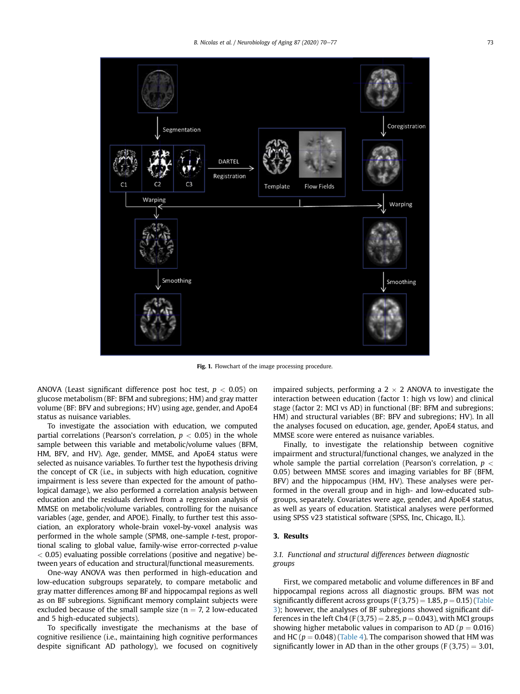<span id="page-3-0"></span>

Fig. 1. Flowchart of the image processing procedure.

ANOVA (Least significant difference post hoc test,  $p < 0.05$ ) on glucose metabolism (BF: BFM and subregions; HM) and gray matter volume (BF: BFV and subregions; HV) using age, gender, and ApoE4 status as nuisance variables.

To investigate the association with education, we computed partial correlations (Pearson's correlation,  $p < 0.05$ ) in the whole sample between this variable and metabolic/volume values (BFM, HM, BFV, and HV). Age, gender, MMSE, and ApoE4 status were selected as nuisance variables. To further test the hypothesis driving the concept of CR (i.e., in subjects with high education, cognitive impairment is less severe than expected for the amount of pathological damage), we also performed a correlation analysis between education and the residuals derived from a regression analysis of MMSE on metabolic/volume variables, controlling for the nuisance variables (age, gender, and APOE). Finally, to further test this association, an exploratory whole-brain voxel-by-voxel analysis was performed in the whole sample (SPM8, one-sample t-test, proportional scaling to global value, family-wise error-corrected p-value  $<$  0.05) evaluating possible correlations (positive and negative) between years of education and structural/functional measurements.

One-way ANOVA was then performed in high-education and low-education subgroups separately, to compare metabolic and gray matter differences among BF and hippocampal regions as well as on BF subregions. Significant memory complaint subjects were excluded because of the small sample size ( $n = 7, 2$  low-educated and 5 high-educated subjects).

To specifically investigate the mechanisms at the base of cognitive resilience (i.e., maintaining high cognitive performances despite significant AD pathology), we focused on cognitively impaired subjects, performing a  $2 \times 2$  ANOVA to investigate the interaction between education (factor 1: high vs low) and clinical stage (factor 2: MCI vs AD) in functional (BF: BFM and subregions; HM) and structural variables (BF: BFV and subregions; HV). In all the analyses focused on education, age, gender, ApoE4 status, and MMSE score were entered as nuisance variables.

Finally, to investigate the relationship between cognitive impairment and structural/functional changes, we analyzed in the whole sample the partial correlation (Pearson's correlation,  $p <$ 0.05) between MMSE scores and imaging variables for BF (BFM, BFV) and the hippocampus (HM, HV). These analyses were performed in the overall group and in high- and low-educated subgroups, separately. Covariates were age, gender, and ApoE4 status, as well as years of education. Statistical analyses were performed using SPSS v23 statistical software (SPSS, Inc, Chicago, IL).

## 3. Results

## 3.1. Functional and structural differences between diagnostic groups

First, we compared metabolic and volume differences in BF and hippocampal regions across all diagnostic groups. BFM was not significantly different across groups (F $(3,75) = 1.85$ , p = 0.15) [\(Table](#page-4-1) [3\)](#page-4-1); however, the analyses of BF subregions showed significant differences in the left Ch4 (F (3,75) = 2.85,  $p = 0.043$ ), with MCI groups showing higher metabolic values in comparison to AD ( $p = 0.016$ ) and HC ( $p = 0.048$ ) ([Table 4](#page-4-2)). The comparison showed that HM was significantly lower in AD than in the other groups (F  $(3,75) = 3.01$ ,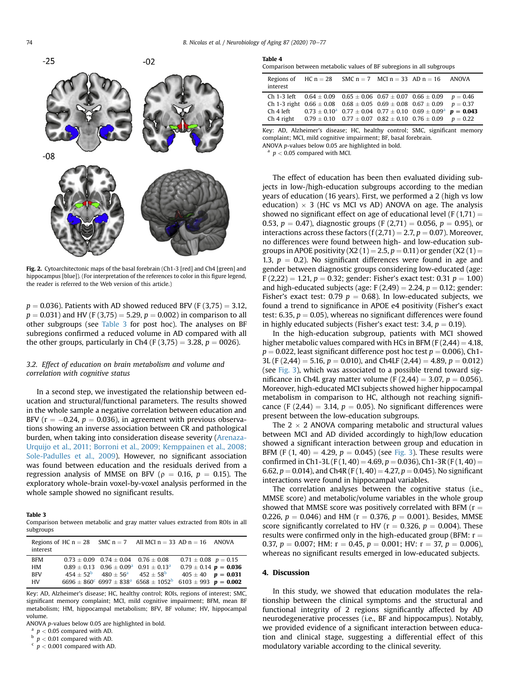<span id="page-4-0"></span>

Fig. 2. Cytoarchitectonic maps of the basal forebrain (Ch1-3 [red] and Ch4 [green] and hippocampus [blue]). (For interpretation of the references to color in this figure legend, the reader is referred to the Web version of this article.)

 $p = 0.036$ ). Patients with AD showed reduced BFV (F (3,75) = 3.12,  $p = 0.031$ ) and HV (F (3,75) = 5.29,  $p = 0.002$ ) in comparison to all other subgroups (see [Table 3](#page-4-1) for post hoc). The analyses on BF subregions confirmed a reduced volume in AD compared with all the other groups, particularly in Ch4 (F (3,75) = 3.28,  $p = 0026$ ).

## 3.2. Effect of education on brain metabolism and volume and correlation with cognitive status

In a second step, we investigated the relationship between education and structural/functional parameters. The results showed in the whole sample a negative correlation between education and BFV ( $r = -0.24$ ,  $p = 0.036$ ), in agreement with previous observations showing an inverse association between CR and pathological burden, when taking into consideration disease severity ([Arenaza-](#page-6-2)[Urquijo et al., 2011; Borroni et al., 2009; Kemppainen et al., 2008;](#page-6-2) [Sole-Padulles et al., 2009\)](#page-6-2). However, no significant association was found between education and the residuals derived from a regression analysis of MMSE on BFV ( $\rho = 0.16$ ,  $p = 0.15$ ). The exploratory whole-brain voxel-by-voxel analysis performed in the whole sample showed no significant results.

## <span id="page-4-1"></span>Table 3

Comparison between metabolic and gray matter values extracted from ROIs in all subgroups

| interest   |                                                          | Regions of HC $n = 28$ SMC $n = 7$ All MCI $n = 33$ AD $n = 16$ ANOVA                                                  |                            |  |
|------------|----------------------------------------------------------|------------------------------------------------------------------------------------------------------------------------|----------------------------|--|
| <b>BFM</b> | $0.73 + 0.09$ $0.74 + 0.04$ $0.76 + 0.08$                |                                                                                                                        | $0.71 \pm 0.08$ $p = 0.15$ |  |
| HМ         |                                                          | $0.89 + 0.13$ $0.96 \pm 0.09^a$ $0.91 \pm 0.13^a$                                                                      | $0.79 \pm 0.14$ p = 0.036  |  |
| <b>BFV</b> | $454 + 52^{\circ}$ $480 + 56^{\circ}$ $452 + 58^{\circ}$ |                                                                                                                        | $405 \pm 40$ $p = 0.031$   |  |
| HV         |                                                          | $6696 \pm 860^{\circ}$ 6997 $\pm$ 838 <sup>a</sup> 6568 $\pm$ 1052 <sup>b</sup> 6103 $\pm$ 993 <b>p</b> = <b>0.002</b> |                            |  |

Key: AD, Alzheimer's disease; HC, healthy control; ROIs, regions of interest; SMC, significant memory complaint; MCI, mild cognitive impairment; BFM, mean BF metabolism; HM, hippocampal metabolism; BFV, BF volume; HV, hippocampal volume.

ANOVA p-values below 0.05 are highlighted in bold.

 $a$   $p < 0.05$  compared with AD.<br>  $b$   $p < 0.01$  compared with AD.

 $p < 0.01$  compared with AD.

 $\frac{c}{p}$  /  $p$  < 0.001 compared with AD.

#### <span id="page-4-2"></span>Table 4

|  |  |  | Comparison between metabolic values of BF subregions in all subgroups |  |  |
|--|--|--|-----------------------------------------------------------------------|--|--|
|  |  |  |                                                                       |  |  |

| interest | Regions of HC $n = 28$ SMC $n = 7$ MCl $n = 33$ AD $n = 16$ ANOVA                         |  |  |
|----------|-------------------------------------------------------------------------------------------|--|--|
|          | Ch 1-3 left $0.64 \pm 0.09$ $0.65 \pm 0.06$ $0.67 \pm 0.07$ $0.66 \pm 0.09$ $p = 0.46$    |  |  |
|          | Ch 1-3 right $0.66 \pm 0.08$ $0.68 \pm 0.05$ $0.69 \pm 0.08$ $0.67 \pm 0.09$ $p = 0.37$   |  |  |
|          | Ch 4 left $0.73 \pm 0.10^a$ $0.77 \pm 0.04$ $0.77 \pm 0.10$ $0.69 \pm 0.09^a$ $p = 0.043$ |  |  |
|          | Ch 4 right $0.79 \pm 0.10$ $0.77 \pm 0.07$ $0.82 \pm 0.10$ $0.76 \pm 0.09$ $p = 0.22$     |  |  |

Key: AD, Alzheimer's disease; HC, healthy control; SMC, significant memory complaint; MCI, mild cognitive impairment; BF, basal forebrain. ANOVA p-values below 0.05 are highlighted in bold.

 $p < 0.05$  compared with MCI.

The effect of education has been then evaluated dividing subjects in low-/high-education subgroups according to the median years of education (16 years). First, we performed a 2 (high vs low education)  $\times$  3 (HC vs MCI vs AD) ANOVA on age. The analysis showed no significant effect on age of educational level (F  $(1,71)$  = 0.53,  $p = 0.47$ ), diagnostic groups (F (2,71) = 0.056,  $p = 0.95$ ), or interactions across these factors (f  $(2,71) = 2.7$ ,  $p = 0.07$ ). Moreover, no differences were found between high- and low-education subgroups in APOE positivity (X2 (1) = 2.5,  $p = 0.11$ ) or gender (X2 (1) = 1.3,  $p = 0.2$ ). No significant differences were found in age and gender between diagnostic groups considering low-educated (age:  $F(2,22) = 1.21, p = 0.32$ ; gender: Fisher's exact test: 0.31  $p = 1.00$ ) and high-educated subjects (age:  $F(2,49) = 2.24$ ,  $p = 0.12$ ; gender: Fisher's exact test: 0.79  $p = 0.68$ ). In low-educated subjects, we found a trend to significance in APOE e4 positivity (Fisher's exact test: 6.35,  $p = 0.05$ ), whereas no significant differences were found in highly educated subjects (Fisher's exact test: 3.4,  $p = 0.19$ ).

In the high-education subgroup, patients with MCI showed higher metabolic values compared with HCs in BFM ( $F(2,44) = 4.18$ ,  $p = 0.022$ , least significant difference post hoc test  $p = 0.006$ ), Ch1-3L (F (2,44) = 5.16,  $p = 0.010$ ), and Ch4LF (2,44) = 4.89,  $p = 0.012$ ) (see [Fig. 3\)](#page-5-0), which was associated to a possible trend toward significance in Ch4L gray matter volume (F  $(2,44) = 3.07$ ,  $p = 0.056$ ). Moreover, high-educated MCI subjects showed higher hippocampal metabolism in comparison to HC, although not reaching significance (F (2,44) = 3.14,  $p = 0.05$ ). No significant differences were present between the low-education subgroups.

The  $2 \times 2$  ANOVA comparing metabolic and structural values between MCI and AD divided accordingly to high/low education showed a significant interaction between group and education in BFM (F  $(1, 40) = 4.29$ ,  $p = 0.045$ ) (see [Fig. 3](#page-5-0)). These results were confirmed in Ch1-3L (F(1, 40) = 4.69, p = 0.036), Ch1-3R (F(1, 40) = 6.62,  $p = 0.014$ ), and Ch4R (F (1, 40) = 4.27,  $p = 0.045$ ). No significant interactions were found in hippocampal variables.

The correlation analyses between the cognitive status (i.e., MMSE score) and metabolic/volume variables in the whole group showed that MMSE score was positively correlated with BFM ( $r =$ 0.226,  $p = 0.046$ ) and HM ( $r = 0.376$ ,  $p = 0.001$ ). Besides, MMSE score significantly correlated to HV ( $r = 0.326$ ,  $p = 0.004$ ). These results were confirmed only in the high-educated group (BFM:  $r =$ 0.37,  $p = 0.007$ ; HM:  $r = 0.45$ ,  $p = 0.001$ ; HV:  $r = 37$ ,  $p = 0.006$ ), whereas no significant results emerged in low-educated subjects.

### 4. Discussion

In this study, we showed that education modulates the relationship between the clinical symptoms and the structural and functional integrity of 2 regions significantly affected by AD neurodegenerative processes (i.e., BF and hippocampus). Notably, we provided evidence of a significant interaction between education and clinical stage, suggesting a differential effect of this modulatory variable according to the clinical severity.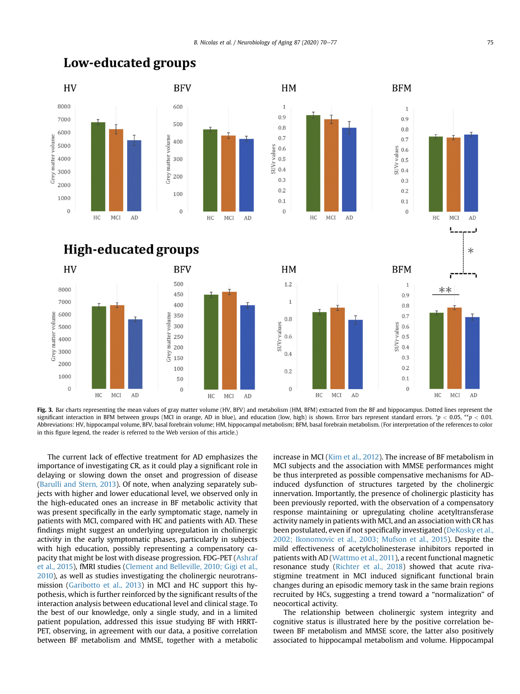

**High-educated groups** 

AD

**BFV** 

500

450

400

350

300

250

200

150

100

50

 $\Omega$ 

 $\rm HC$ MCI

Grey matter volume

HV

8000

7000

6000

5000

4000

2000

1000

 $\theta$ 

HC MCI

matter volume

Grey n 3000

<span id="page-5-0"></span>**Low-educated groups** 



HM

 $1.2$ 

 $\mathbf{1}$ 

 $0.8$ 

 $0.6$ 

 $0.4$ 

 $0.2$ 

 $\Omega$ 

HC  $_{\rm MCI}$  AD

SUVrvalues



**BFM** 

 $\mathbf{1}$ 

 $0.9$ 

 $0.8$ 

 $0.7$ 

 $0.6$ 

 $0.5$ 

 $0.4$ 

 $0.3$ 

 $0.2$ 

 $0.1$ 

 $\Omega$ 

 $\overline{1}$ 

 $09$ 

 $0.8$ 

 $0.7$ 

 $0.5$ 

 $0.4$ 

 $0.3$ 

 $0.2$ 

 $0.1$ 

 $\overline{0}$ 

SUVrvalues  $0.6$ 



Fig. 3. Bar charts representing the mean values of gray matter volume (HV, BFV) and metabolism (HM, BFM) extracted from the BF and hippocampus. Dotted lines represent the significant interaction in BFM between groups (MCI in orange, AD in blue), and education (low, high) is shown. Error bars represent standard errors.  $^*p$  < 0.05,  $^{**}p$  < 0.01. Abbreviations: HV, hippocampal volume, BFV, basal forebrain volume; HM, hippocampal metabolism; BFM, basal forebrain metabolism. (For interpretation of the references to color in this figure legend, the reader is referred to the Web version of this article.)

AD

The current lack of effective treatment for AD emphasizes the importance of investigating CR, as it could play a significant role in delaying or slowing down the onset and progression of disease ([Barulli and Stern, 2013\)](#page-6-3). Of note, when analyzing separately subjects with higher and lower educational level, we observed only in the high-educated ones an increase in BF metabolic activity that was present specifically in the early symptomatic stage, namely in patients with MCI, compared with HC and patients with AD. These findings might suggest an underlying upregulation in cholinergic activity in the early symptomatic phases, particularly in subjects with high education, possibly representing a compensatory capacity that might be lost with disease progression. FDG-PET ([Ashraf](#page-6-4) [et al., 2015](#page-6-4)), fMRI studies [\(Clement and Belleville, 2010; Gigi et al.,](#page-7-16) [2010\)](#page-7-16), as well as studies investigating the cholinergic neurotransmission ([Garibotto et al., 2013](#page-7-3)) in MCI and HC support this hypothesis, which is further reinforced by the significant results of the interaction analysis between educational level and clinical stage. To the best of our knowledge, only a single study, and in a limited patient population, addressed this issue studying BF with HRRT-PET, observing, in agreement with our data, a positive correlation between BF metabolism and MMSE, together with a metabolic

increase in MCI [\(Kim et al., 2012\)](#page-7-11). The increase of BF metabolism in MCI subjects and the association with MMSE performances might be thus interpreted as possible compensative mechanisms for ADinduced dysfunction of structures targeted by the cholinergic innervation. Importantly, the presence of cholinergic plasticity has been previously reported, with the observation of a compensatory response maintaining or upregulating choline acetyltransferase activity namely in patients with MCI, and an association with CR has been postulated, even if not specifically investigated [\(DeKosky et al.,](#page-7-17) [2002; Ikonomovic et al., 2003; Mufson et al., 2015](#page-7-17)). Despite the mild effectiveness of acetylcholinesterase inhibitors reported in patients with AD ([Wattmo et al., 2011](#page-7-18)), a recent functional magnetic resonance study ([Richter et al., 2018](#page-7-19)) showed that acute rivastigmine treatment in MCI induced significant functional brain changes during an episodic memory task in the same brain regions recruited by HCs, suggesting a trend toward a "normalization" of neocortical activity.

The relationship between cholinergic system integrity and cognitive status is illustrated here by the positive correlation between BF metabolism and MMSE score, the latter also positively associated to hippocampal metabolism and volume. Hippocampal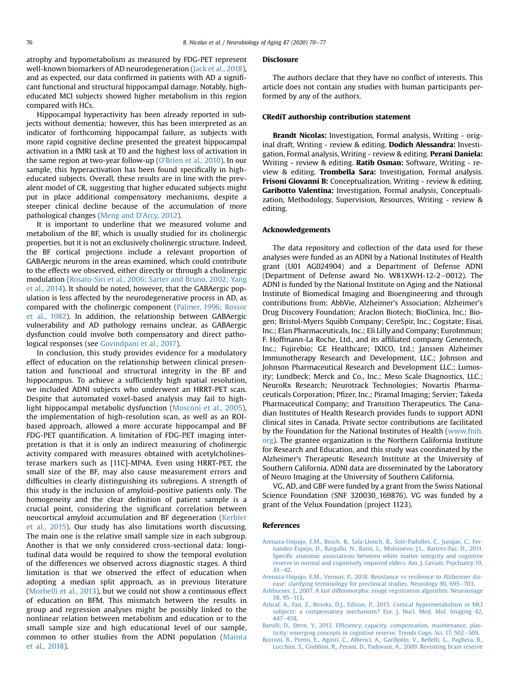atrophy and hypometabolism as measured by FDG-PET represent well-known biomarkers of AD neurodegeneration ([Jack et al., 2018\)](#page-7-10), and as expected, our data confirmed in patients with AD a significant functional and structural hippocampal damage. Notably, higheducated MCI subjects showed higher metabolism in this region compared with HCs.

Hippocampal hyperactivity has been already reported in subjects without dementia; however, this has been interpreted as an indicator of forthcoming hippocampal failure, as subjects with more rapid cognitive decline presented the greatest hippocampal activation in a fMRI task at T0 and the highest loss of activation in the same region at two-year follow-up (O'[Brien et al., 2010\)](#page-7-20). In our sample, this hyperactivation has been found specifically in higheducated subjects. Overall, these results are in line with the prevalent model of CR, suggesting that higher educated subjects might put in place additional compensatory mechanisms, despite a steeper clinical decline because of the accumulation of more pathological changes ([Meng and D](#page-7-21)'Arcy, 2012).

It is important to underline that we measured volume and metabolism of the BF, which is usually studied for its cholinergic properties, but it is not an exclusively cholinergic structure. Indeed, the BF cortical projections include a relevant proportion of GABAergic neurons in the areas examined, which could contribute to the effects we observed, either directly or through a cholinergic modulation [\(Rosato-Siri et al., 2006; Sarter and Bruno, 2002; Yang](#page-7-22) [et al., 2014](#page-7-22)). It should be noted, however, that the GABAergic population is less affected by the neurodegenerative process in AD, as compared with the cholinergic component ([Palmer, 1996; Rossor](#page-7-23) [et al., 1982\)](#page-7-23). In addition, the relationship between GABAergic vulnerability and AD pathology remains unclear, as GABAergic dysfunction could involve both compensatory and direct pathological responses (see [Govindpani et al., 2017\)](#page-7-24).

In conclusion, this study provides evidence for a modulatory effect of education on the relationship between clinical presentation and functional and structural integrity in the BF and hippocampus. To achieve a sufficiently high spatial resolution, we included ADNI subjects who underwent an HRRT-PET scan. Despite that automated voxel-based analysis may fail to highlight hippocampal metabolic dysfunction ([Mosconi et al., 2005\)](#page-7-25), the implementation of high-resolution scan, as well as an ROIbased approach, allowed a more accurate hippocampal and BF FDG-PET quantification. A limitation of FDG-PET imaging interpretation is that it is only an indirect measuring of cholinergic activity compared with measures obtained with acetylcholinesterase markers such as [11C]-MP4A. Even using HRRT-PET, the small size of the BF, may also cause measurement errors and difficulties in clearly distinguishing its subregions. A strength of this study is the inclusion of amyloid-positive patients only. The homogeneity and the clear definition of patient sample is a crucial point, considering the significant correlation between neocortical amyloid accumulation and BF degeneration ([Kerbler](#page-7-26) [et al., 2015\)](#page-7-26). Our study has also limitations worth discussing. The main one is the relative small sample size in each subgroup. Another is that we only considered cross-sectional data: longitudinal data would be required to show the temporal evolution of the differences we observed across diagnostic stages. A third limitation is that we observed the effect of education when adopting a median split approach, as in previous literature [\(Morbelli et al., 2013\)](#page-7-14), but we could not show a continuous effect of education on BFM. This mismatch between the results in group and regression analyses might be possibly linked to the nonlinear relation between metabolism and education or to the small sample size and high educational level of our sample, common to other studies from the ADNI population ([Mainta](#page-7-27) [et al., 2018](#page-7-27)).

#### Disclosure

The authors declare that they have no conflict of interests. This article does not contain any studies with human participants performed by any of the authors.

### CRediT authorship contribution statement

Brandt Nicolas: Investigation, Formal analysis, Writing - original draft, Writing - review & editing. Dodich Alessandra: Investigation, Formal analysis, Writing - review & editing. Perani Daniela: Writing - review & editing. Ratib Osman: Software, Writing - review & editing. Trombella Sara: Investigation, Formal analysis. Frisoni Giovanni B: Conceptualization, Writing - review & editing. Garibotto Valentina: Investigation, Formal analysis, Conceptualization, Methodology, Supervision, Resources, Writing - review & editing.

## Acknowledgements

The data repository and collection of the data used for these analyses were funded as an ADNI by a National Institutes of Health grant (U01 AG024904) and a Department of Defense ADNI (Department of Defense award No. W81XWH-12-2 $-$ 0012). The ADNI is funded by the National Institute on Aging and the National Institute of Biomedical Imaging and Bioengineering and through contributions from: AbbVie, Alzheimer's Association; Alzheimer's Drug Discovery Foundation; Araclon Biotech; BioClinica, Inc.; Biogen; Bristol-Myers Squibb Company; CereSpir, Inc.; Cogstate; Eisai, Inc.; Elan Pharmaceuticals, Inc.; Eli Lilly and Company; EuroImmun; F. Hoffmann-La Roche, Ltd., and its affiliated company Genentech, Inc.; Fujirebio; GE Healthcare; IXICO, Ltd.; Janssen Alzheimer Immunotherapy Research and Development, LLC.; Johnson and Johnson Pharmaceutical Research and Development LLC.; Lumosity; Lundbeck; Merck and Co., Inc.; Meso Scale Diagnostics, LLC.; NeuroRx Research; Neurotrack Technologies; Novartis Pharmaceuticals Corporation; Pfizer, Inc.; Piramal Imaging; Servier; Takeda Pharmaceutical Company; and Transition Therapeutics. The Canadian Institutes of Health Research provides funds to support ADNI clinical sites in Canada. Private sector contributions are facilitated by the Foundation for the National Institutes of Health ([www.fnih.](http://www.fnih.org) [org](http://www.fnih.org)). The grantee organization is the Northern California Institute for Research and Education, and this study was coordinated by the Alzheimer's Therapeutic Research Institute at the University of Southern California. ADNI data are disseminated by the Laboratory of Neuro Imaging at the University of Southern California.

VG, AD, and GBF were funded by a grant from the Swiss National Science Foundation (SNF 320030\_169876). VG was funded by a grant of the Velux Foundation (project 1123).

#### <span id="page-6-2"></span>References

- [Arenaza-Urquijo, E.M., Bosch, B., Sala-Llonch, R., Sole-Padulles, C., Junque, C., Fer](http://refhub.elsevier.com/S0197-4580(19)30419-1/sref1)[nandez-Espejo, D., Bargallo, N., Rami, L., Molinuevo, J.L., Bartres-Faz, D., 2011.](http://refhub.elsevier.com/S0197-4580(19)30419-1/sref1) Specifi[c anatomic associations between white matter integrity and cognitive](http://refhub.elsevier.com/S0197-4580(19)30419-1/sref1) [reserve in normal and cognitively impaired elders. Am. J. Geriatr. Psychiatry 19,](http://refhub.elsevier.com/S0197-4580(19)30419-1/sref1)  $33 - 42$  $33 - 42$
- <span id="page-6-1"></span><span id="page-6-0"></span>[Arenaza-Urquijo, E.M., Vemuri, P., 2018. Resistance vs resilience to Alzheimer dis](http://refhub.elsevier.com/S0197-4580(19)30419-1/sref2)[ease: clarifying terminology for preclinical studies. Neurology 90, 695](http://refhub.elsevier.com/S0197-4580(19)30419-1/sref2)-[703](http://refhub.elsevier.com/S0197-4580(19)30419-1/sref2).
- <span id="page-6-4"></span>[Ashburner, J., 2007. A fast diffeomorphic image registration algorithm. Neuroimage](http://refhub.elsevier.com/S0197-4580(19)30419-1/sref3)  $38, 95 - 113.$  $38, 95 - 113.$  $38, 95 - 113.$  $38, 95 - 113.$
- [Ashraf, A., Fan, Z., Brooks, D.J., Edison, P., 2015. Cortical hypermetabolism in MCI](http://refhub.elsevier.com/S0197-4580(19)30419-1/sref4) [subjects: a compensatory mechanism? Eur. J. Nucl. Med. Mol. Imaging 42,](http://refhub.elsevier.com/S0197-4580(19)30419-1/sref4) [447](http://refhub.elsevier.com/S0197-4580(19)30419-1/sref4)-[458.](http://refhub.elsevier.com/S0197-4580(19)30419-1/sref4)
- <span id="page-6-3"></span>Barulli, D., Stern, Y., 2013. Effi[ciency, capacity, compensation, maintenance, plas](http://refhub.elsevier.com/S0197-4580(19)30419-1/sref5)[ticity: emerging concepts in cognitive reserve. Trends Cogn. Sci. 17, 502](http://refhub.elsevier.com/S0197-4580(19)30419-1/sref5)-[509](http://refhub.elsevier.com/S0197-4580(19)30419-1/sref5).
- [Borroni, B., Premi, E., Agosti, C., Alberici, A., Garibotto, V., Bellelli, G., Paghera, B.,](http://refhub.elsevier.com/S0197-4580(19)30419-1/sref6) [Lucchini, S., Giubbini, R., Perani, D., Padovani, A., 2009. Revisiting brain reserve](http://refhub.elsevier.com/S0197-4580(19)30419-1/sref6)